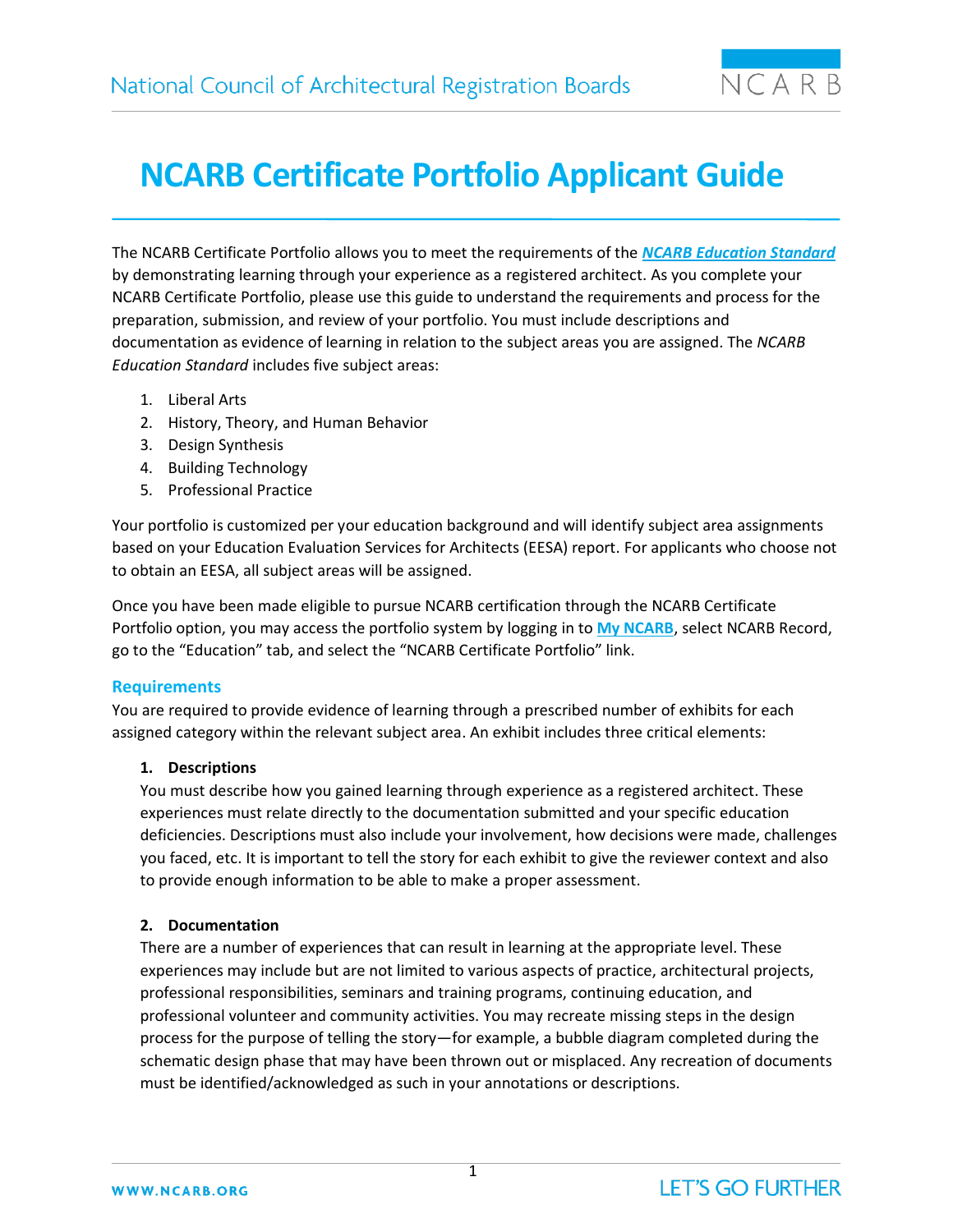

# **NCARB Certificate Portfolio Applicant Guide**

The NCARB Certificate Portfolio allows you to meet the requirements of the *[NCARB Education Standard](https://www.ncarb.org/sites/default/files/Main%20Website/Data%20&%20Resources/Guidelines/EducationGuidelines.pdf)* by demonstrating learning through your experience as a registered architect. As you complete your NCARB Certificate Portfolio, please use this guide to understand the requirements and process for the preparation, submission, and review of your portfolio. You must include descriptions and documentation as evidence of learning in relation to the subject areas you are assigned. The *NCARB Education Standard* includes five subject areas:

- 1. Liberal Arts
- 2. History, Theory, and Human Behavior
- 3. Design Synthesis
- 4. Building Technology
- 5. Professional Practice

Your portfolio is customized per your education background and will identify subject area assignments based on your Education Evaluation Services for Architects (EESA) report. For applicants who choose not to obtain an EESA, all subject areas will be assigned.

Once you have been made eligible to pursue NCARB certification through the NCARB Certificate Portfolio option, you may access the portfolio system by logging in to **[My NCARB](https://my.ncarb.org/Login/)**, select NCARB Record, go to the "Education" tab, and select the "NCARB Certificate Portfolio" link.

# **Requirements**

You are required to provide evidence of learning through a prescribed number of exhibits for each assigned category within the relevant subject area. An exhibit includes three critical elements:

# **1. Descriptions**

You must describe how you gained learning through experience as a registered architect. These experiences must relate directly to the documentation submitted and your specific education deficiencies. Descriptions must also include your involvement, how decisions were made, challenges you faced, etc. It is important to tell the story for each exhibit to give the reviewer context and also to provide enough information to be able to make a proper assessment.

# **2. Documentation**

There are a number of experiences that can result in learning at the appropriate level. These experiences may include but are not limited to various aspects of practice, architectural projects, professional responsibilities, seminars and training programs, continuing education, and professional volunteer and community activities. You may recreate missing steps in the design process for the purpose of telling the story—for example, a bubble diagram completed during the schematic design phase that may have been thrown out or misplaced. Any recreation of documents must be identified/acknowledged as such in your annotations or descriptions.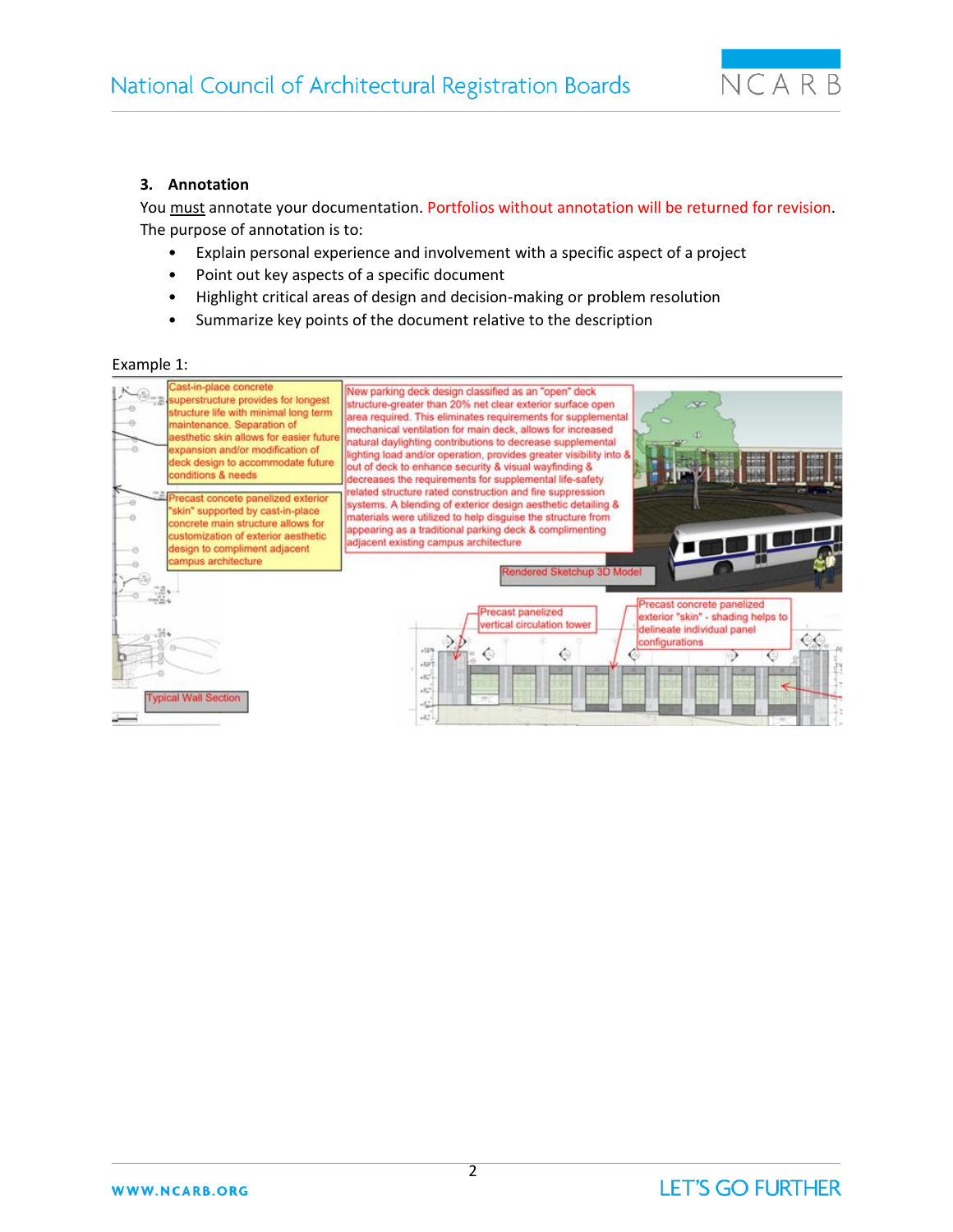

#### **3. Annotation**

You must annotate your documentation. Portfolios without annotation will be returned for revision. The purpose of annotation is to:

- Explain personal experience and involvement with a specific aspect of a project
- Point out key aspects of a specific document
- Highlight critical areas of design and decision-making or problem resolution
- Summarize key points of the document relative to the description

#### Example 1:

| Cast-in-place concrete<br>superstructure provides for longest<br>structure life with minimal long term<br>$\circ$<br>maintenance. Separation of<br>aesthetic skin allows for easier future<br>÷.<br>expansion and/or modification of<br>deck design to accommodate future<br>conditions & needs | New parking deck design classified as an "open" deck<br>structure-greater than 20% net clear exterior surface open<br>$\infty$<br>area required. This eliminates requirements for supplemental<br>mechanical ventilation for main deck, allows for increased<br>natural daylighting contributions to decrease supplemental<br>lighting load and/or operation, provides greater visibility into &<br><b>EEE</b><br>out of deck to enhance security & visual wayfinding &<br>decreases the requirements for supplemental life-safety |
|-------------------------------------------------------------------------------------------------------------------------------------------------------------------------------------------------------------------------------------------------------------------------------------------------|------------------------------------------------------------------------------------------------------------------------------------------------------------------------------------------------------------------------------------------------------------------------------------------------------------------------------------------------------------------------------------------------------------------------------------------------------------------------------------------------------------------------------------|
| Precast concete panelized exterior<br>$-0$<br>"skin" supported by cast-in-place<br>49<br>concrete main structure allows for<br>customization of exterior aesthetic<br>design to compliment adjacent<br>48<br>campus architecture                                                                | related structure rated construction and fire suppression<br>systems. A blending of exterior design aesthetic detailing &<br>materials were utilized to help disguise the structure from<br>appearing as a traditional parking deck & complimenting<br>y y gy gy gy<br>adjacent existing campus architecture<br>Rendered Sketchup 3D Model                                                                                                                                                                                         |
| <b>Typical Wall Section</b>                                                                                                                                                                                                                                                                     | Precast concrete panelized<br><b>Precast panelized</b><br>exterior "skin" - shading helps to<br>vertical circulation tower<br>delineate individual panel<br>configurations<br>$-7479$<br>$+3377$<br>$+157$<br>$+821$<br>$+62$<br>$+12.1$                                                                                                                                                                                                                                                                                           |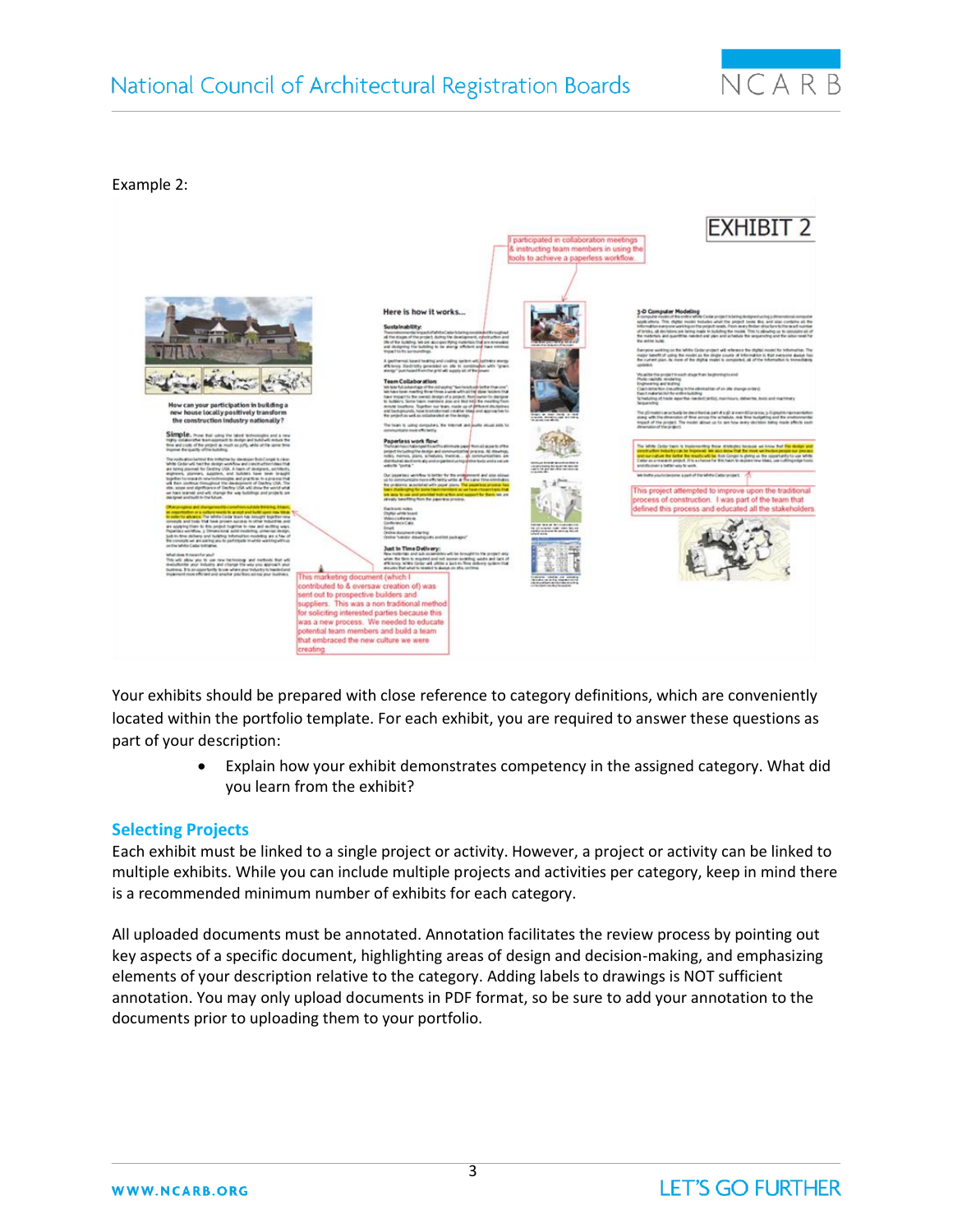# National Council of Architectural Registration Boards



#### Example 2:



Your exhibits should be prepared with close reference to category definitions, which are conveniently located within the portfolio template. For each exhibit, you are required to answer these questions as part of your description:

> • Explain how your exhibit demonstrates competency in the assigned category. What did you learn from the exhibit?

#### **Selecting Projects**

Each exhibit must be linked to a single project or activity. However, a project or activity can be linked to multiple exhibits. While you can include multiple projects and activities per category, keep in mind there is a recommended minimum number of exhibits for each category.

All uploaded documents must be annotated. Annotation facilitates the review process by pointing out key aspects of a specific document, highlighting areas of design and decision-making, and emphasizing elements of your description relative to the category. Adding labels to drawings is NOT sufficient annotation. You may only upload documents in PDF format, so be sure to add your annotation to the documents prior to uploading them to your portfolio.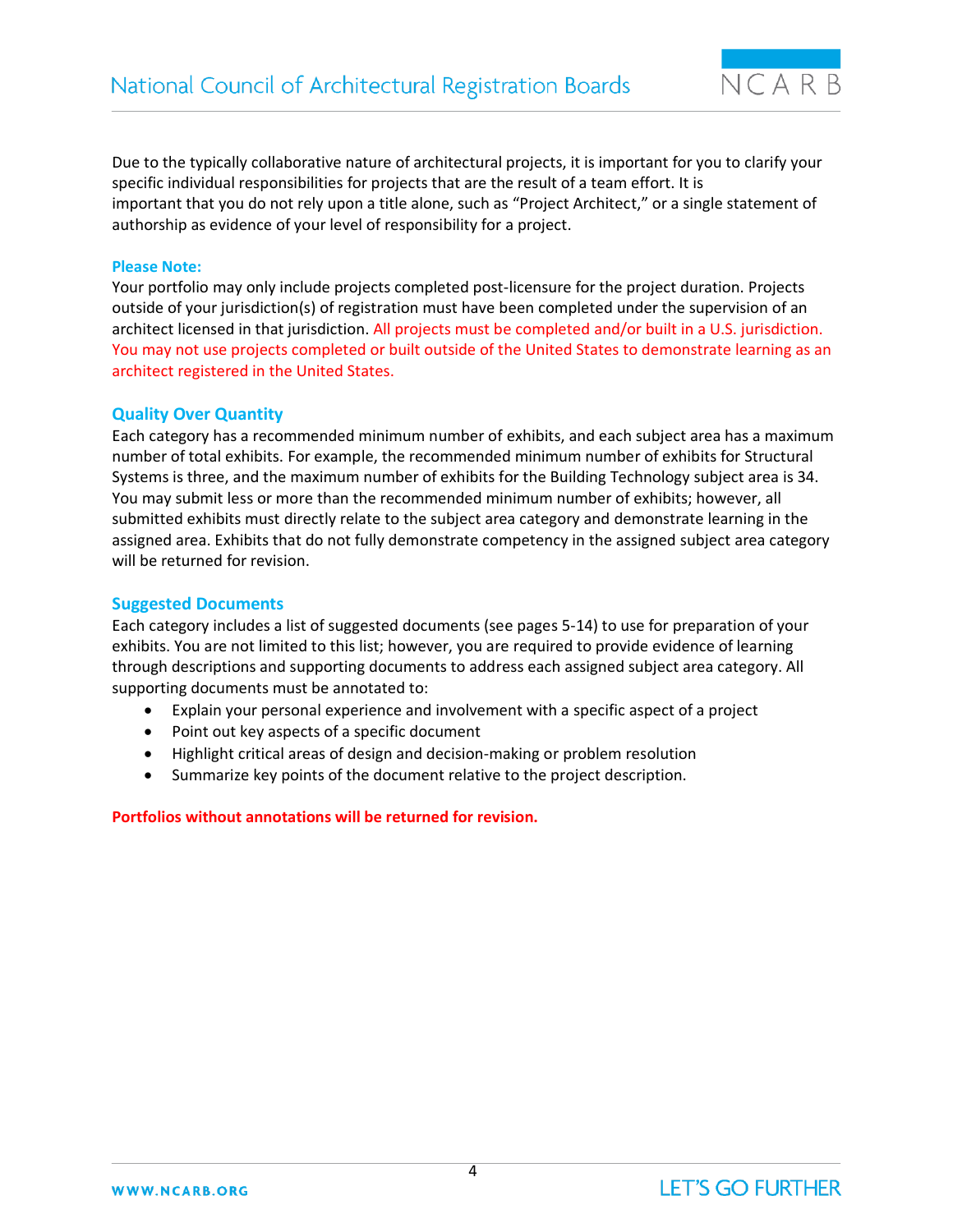$NCARB$ 

Due to the typically collaborative nature of architectural projects, it is important for you to clarify your specific individual responsibilities for projects that are the result of a team effort. It is important that you do not rely upon a title alone, such as "Project Architect," or a single statement of authorship as evidence of your level of responsibility for a project.

#### **Please Note:**

Your portfolio may only include projects completed post-licensure for the project duration. Projects outside of your jurisdiction(s) of registration must have been completed under the supervision of an architect licensed in that jurisdiction. All projects must be completed and/or built in a U.S. jurisdiction. You may not use projects completed or built outside of the United States to demonstrate learning as an architect registered in the United States.

#### **Quality Over Quantity**

Each category has a recommended minimum number of exhibits, and each subject area has a maximum number of total exhibits. For example, the recommended minimum number of exhibits for Structural Systems is three, and the maximum number of exhibits for the Building Technology subject area is 34. You may submit less or more than the recommended minimum number of exhibits; however, all submitted exhibits must directly relate to the subject area category and demonstrate learning in the assigned area. Exhibits that do not fully demonstrate competency in the assigned subject area category will be returned for revision.

#### **Suggested Documents**

Each category includes a list of suggested documents (see pages 5-14) to use for preparation of your exhibits. You are not limited to this list; however, you are required to provide evidence of learning through descriptions and supporting documents to address each assigned subject area category. All supporting documents must be annotated to:

- Explain your personal experience and involvement with a specific aspect of a project
- Point out key aspects of a specific document
- Highlight critical areas of design and decision-making or problem resolution
- Summarize key points of the document relative to the project description.

#### **Portfolios without annotations will be returned for revision.**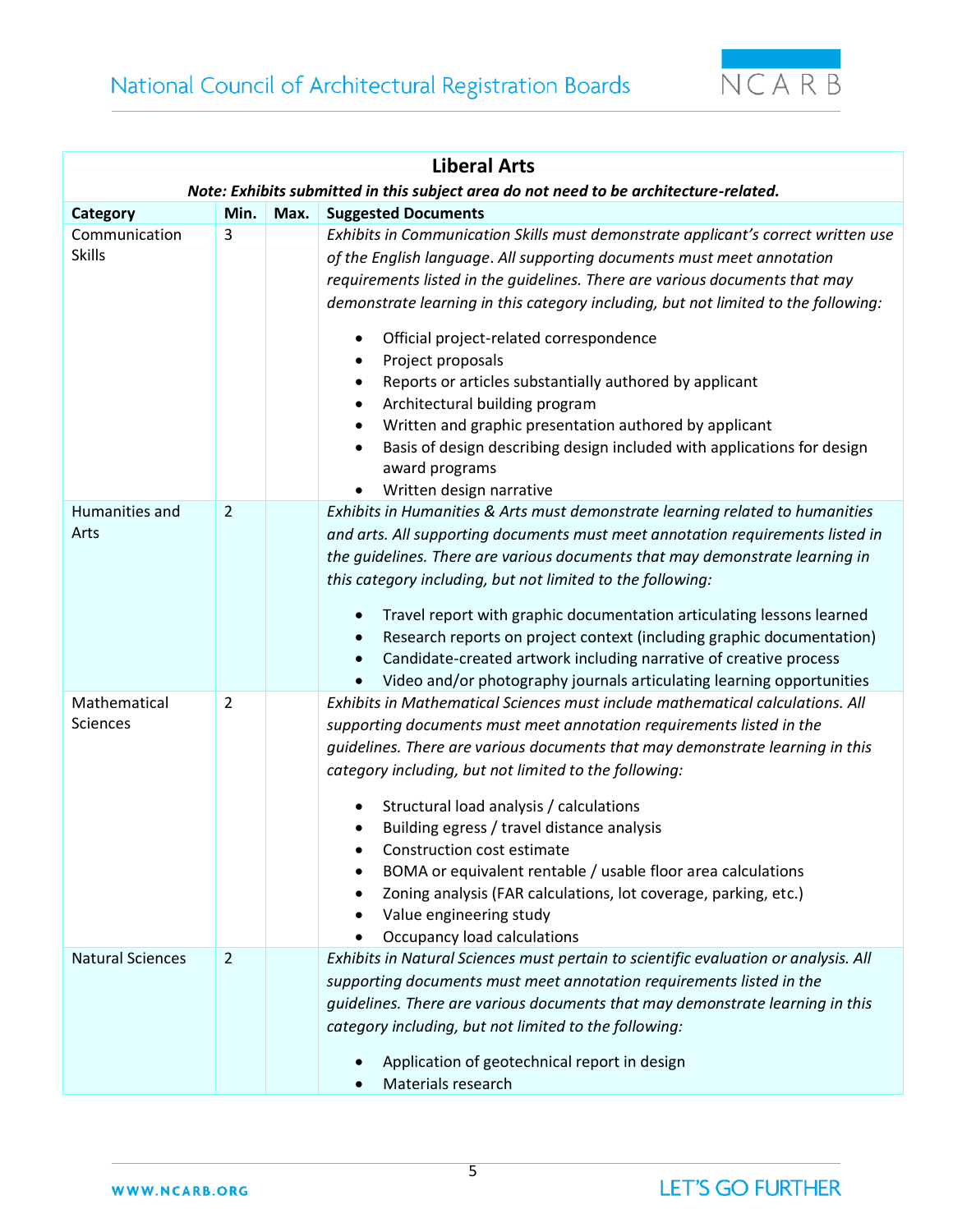

| <b>Liberal Arts</b>            |                                                                                       |      |                                                                                                                                                                                                                                                                                                                                                                                                                                                                                                                                                                                                                                                                                                                                                             |  |  |
|--------------------------------|---------------------------------------------------------------------------------------|------|-------------------------------------------------------------------------------------------------------------------------------------------------------------------------------------------------------------------------------------------------------------------------------------------------------------------------------------------------------------------------------------------------------------------------------------------------------------------------------------------------------------------------------------------------------------------------------------------------------------------------------------------------------------------------------------------------------------------------------------------------------------|--|--|
|                                | Note: Exhibits submitted in this subject area do not need to be architecture-related. |      |                                                                                                                                                                                                                                                                                                                                                                                                                                                                                                                                                                                                                                                                                                                                                             |  |  |
| Category                       | Min.                                                                                  | Max. | <b>Suggested Documents</b>                                                                                                                                                                                                                                                                                                                                                                                                                                                                                                                                                                                                                                                                                                                                  |  |  |
| Communication<br><b>Skills</b> | 3                                                                                     |      | Exhibits in Communication Skills must demonstrate applicant's correct written use<br>of the English language. All supporting documents must meet annotation<br>requirements listed in the guidelines. There are various documents that may<br>demonstrate learning in this category including, but not limited to the following:<br>Official project-related correspondence<br>٠<br>Project proposals<br>$\bullet$<br>Reports or articles substantially authored by applicant<br>٠<br>Architectural building program<br>$\bullet$<br>Written and graphic presentation authored by applicant<br>$\bullet$<br>Basis of design describing design included with applications for design<br>$\bullet$<br>award programs<br>Written design narrative<br>$\bullet$ |  |  |
| Humanities and<br>Arts         | $\overline{2}$                                                                        |      | Exhibits in Humanities & Arts must demonstrate learning related to humanities<br>and arts. All supporting documents must meet annotation requirements listed in<br>the guidelines. There are various documents that may demonstrate learning in<br>this category including, but not limited to the following:<br>Travel report with graphic documentation articulating lessons learned<br>$\bullet$<br>Research reports on project context (including graphic documentation)<br>٠<br>Candidate-created artwork including narrative of creative process<br>$\bullet$<br>Video and/or photography journals articulating learning opportunities                                                                                                                |  |  |
| Mathematical<br>Sciences       | $\overline{2}$                                                                        |      | Exhibits in Mathematical Sciences must include mathematical calculations. All<br>supporting documents must meet annotation requirements listed in the<br>guidelines. There are various documents that may demonstrate learning in this<br>category including, but not limited to the following:<br>Structural load analysis / calculations<br>Building egress / travel distance analysis<br>Construction cost estimate<br>BOMA or equivalent rentable / usable floor area calculations<br>Zoning analysis (FAR calculations, lot coverage, parking, etc.)<br>Value engineering study<br>Occupancy load calculations                                                                                                                                         |  |  |
| <b>Natural Sciences</b>        | $\overline{2}$                                                                        |      | Exhibits in Natural Sciences must pertain to scientific evaluation or analysis. All<br>supporting documents must meet annotation requirements listed in the<br>guidelines. There are various documents that may demonstrate learning in this<br>category including, but not limited to the following:<br>Application of geotechnical report in design<br>Materials research                                                                                                                                                                                                                                                                                                                                                                                 |  |  |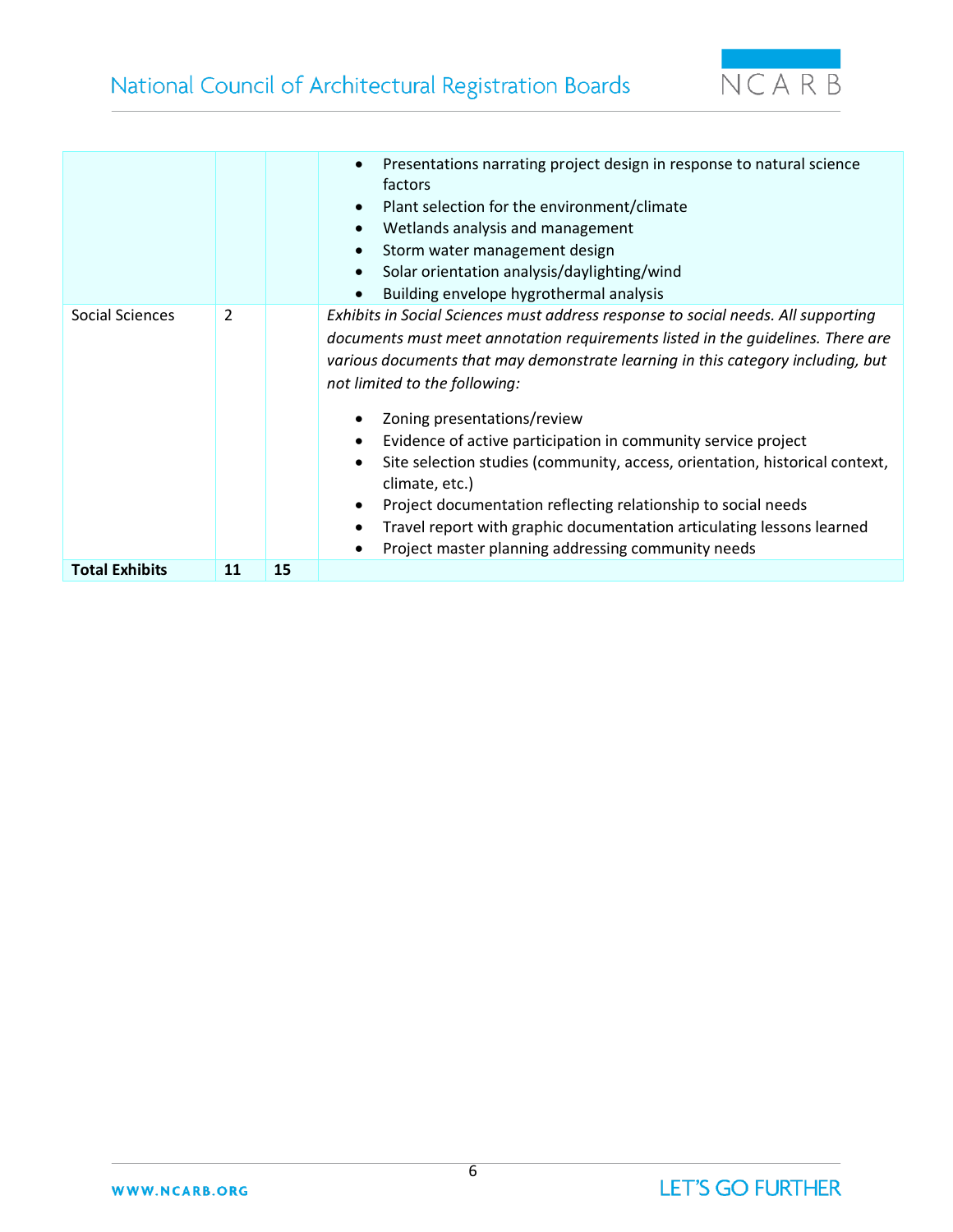

|                       |    |    | Presentations narrating project design in response to natural science<br>$\bullet$<br>factors<br>Plant selection for the environment/climate<br>$\bullet$<br>Wetlands analysis and management<br>$\bullet$<br>Storm water management design<br>$\bullet$<br>Solar orientation analysis/daylighting/wind<br>$\bullet$<br>Building envelope hygrothermal analysis<br>$\bullet$                                                                                                                                                                                                                                                                                                                                                                                            |
|-----------------------|----|----|-------------------------------------------------------------------------------------------------------------------------------------------------------------------------------------------------------------------------------------------------------------------------------------------------------------------------------------------------------------------------------------------------------------------------------------------------------------------------------------------------------------------------------------------------------------------------------------------------------------------------------------------------------------------------------------------------------------------------------------------------------------------------|
| Social Sciences       | 2  |    | Exhibits in Social Sciences must address response to social needs. All supporting<br>documents must meet annotation requirements listed in the guidelines. There are<br>various documents that may demonstrate learning in this category including, but<br>not limited to the following:<br>Zoning presentations/review<br>$\bullet$<br>Evidence of active participation in community service project<br>$\bullet$<br>Site selection studies (community, access, orientation, historical context,<br>$\bullet$<br>climate, etc.)<br>Project documentation reflecting relationship to social needs<br>$\bullet$<br>Travel report with graphic documentation articulating lessons learned<br>$\bullet$<br>Project master planning addressing community needs<br>$\bullet$ |
| <b>Total Exhibits</b> | 11 | 15 |                                                                                                                                                                                                                                                                                                                                                                                                                                                                                                                                                                                                                                                                                                                                                                         |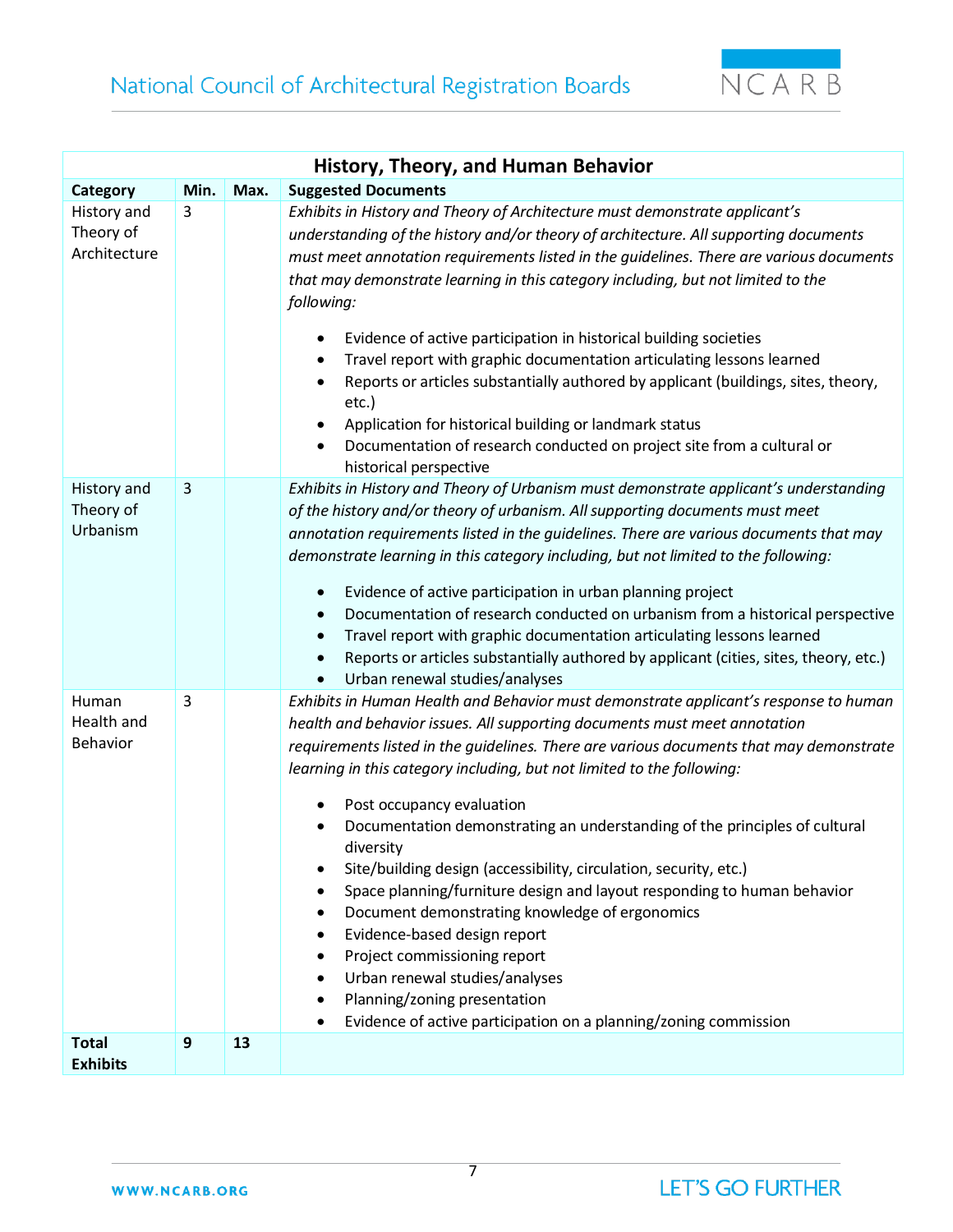

| History, Theory, and Human Behavior      |                  |      |                                                                                                                                                                                                                                                                                                                                                                                                                                                                                                                                                                                                                                                                                                                                                                                                                                                                                          |  |  |
|------------------------------------------|------------------|------|------------------------------------------------------------------------------------------------------------------------------------------------------------------------------------------------------------------------------------------------------------------------------------------------------------------------------------------------------------------------------------------------------------------------------------------------------------------------------------------------------------------------------------------------------------------------------------------------------------------------------------------------------------------------------------------------------------------------------------------------------------------------------------------------------------------------------------------------------------------------------------------|--|--|
| Category                                 | Min.             | Max. | <b>Suggested Documents</b>                                                                                                                                                                                                                                                                                                                                                                                                                                                                                                                                                                                                                                                                                                                                                                                                                                                               |  |  |
| History and<br>Theory of<br>Architecture | 3                |      | Exhibits in History and Theory of Architecture must demonstrate applicant's<br>understanding of the history and/or theory of architecture. All supporting documents<br>must meet annotation requirements listed in the guidelines. There are various documents<br>that may demonstrate learning in this category including, but not limited to the<br>following:<br>Evidence of active participation in historical building societies<br>Travel report with graphic documentation articulating lessons learned<br>$\bullet$<br>Reports or articles substantially authored by applicant (buildings, sites, theory,<br>etc.)<br>Application for historical building or landmark status<br>Documentation of research conducted on project site from a cultural or<br>historical perspective                                                                                                 |  |  |
| History and<br>Theory of<br>Urbanism     | 3                |      | Exhibits in History and Theory of Urbanism must demonstrate applicant's understanding<br>of the history and/or theory of urbanism. All supporting documents must meet<br>annotation requirements listed in the guidelines. There are various documents that may<br>demonstrate learning in this category including, but not limited to the following:<br>Evidence of active participation in urban planning project<br>٠<br>Documentation of research conducted on urbanism from a historical perspective<br>Travel report with graphic documentation articulating lessons learned<br>Reports or articles substantially authored by applicant (cities, sites, theory, etc.)<br>Urban renewal studies/analyses                                                                                                                                                                            |  |  |
| Human<br>Health and<br>Behavior          | 3                |      | Exhibits in Human Health and Behavior must demonstrate applicant's response to human<br>health and behavior issues. All supporting documents must meet annotation<br>requirements listed in the guidelines. There are various documents that may demonstrate<br>learning in this category including, but not limited to the following:<br>Post occupancy evaluation<br>Documentation demonstrating an understanding of the principles of cultural<br>diversity<br>Site/building design (accessibility, circulation, security, etc.)<br>$\bullet$<br>Space planning/furniture design and layout responding to human behavior<br>Document demonstrating knowledge of ergonomics<br>Evidence-based design report<br>Project commissioning report<br>٠<br>Urban renewal studies/analyses<br>Planning/zoning presentation<br>Evidence of active participation on a planning/zoning commission |  |  |
| <b>Total</b><br><b>Exhibits</b>          | $\boldsymbol{9}$ | 13   |                                                                                                                                                                                                                                                                                                                                                                                                                                                                                                                                                                                                                                                                                                                                                                                                                                                                                          |  |  |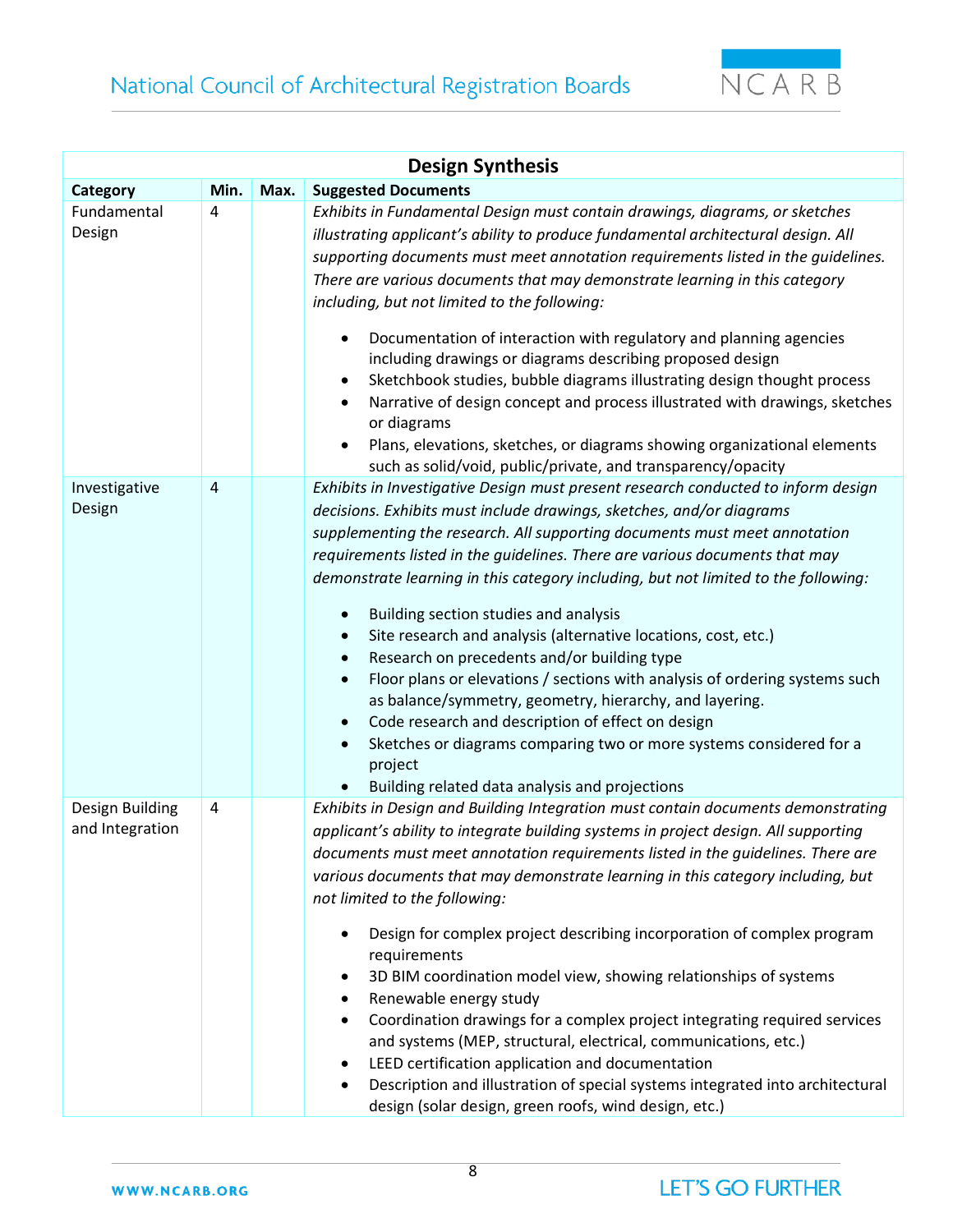

| <b>Design Synthesis</b>            |      |      |                                                                                                                                                                                                                                                                                                                                                                                                                                                                                                                                                                                                                                                                                                                                                                                                                                                                                                                                                 |  |  |  |
|------------------------------------|------|------|-------------------------------------------------------------------------------------------------------------------------------------------------------------------------------------------------------------------------------------------------------------------------------------------------------------------------------------------------------------------------------------------------------------------------------------------------------------------------------------------------------------------------------------------------------------------------------------------------------------------------------------------------------------------------------------------------------------------------------------------------------------------------------------------------------------------------------------------------------------------------------------------------------------------------------------------------|--|--|--|
| Category                           | Min. | Max. | <b>Suggested Documents</b>                                                                                                                                                                                                                                                                                                                                                                                                                                                                                                                                                                                                                                                                                                                                                                                                                                                                                                                      |  |  |  |
| Fundamental<br>Design              | 4    |      | Exhibits in Fundamental Design must contain drawings, diagrams, or sketches<br>illustrating applicant's ability to produce fundamental architectural design. All<br>supporting documents must meet annotation requirements listed in the guidelines.<br>There are various documents that may demonstrate learning in this category<br>including, but not limited to the following:<br>Documentation of interaction with regulatory and planning agencies<br>including drawings or diagrams describing proposed design<br>Sketchbook studies, bubble diagrams illustrating design thought process<br>Narrative of design concept and process illustrated with drawings, sketches<br>or diagrams<br>Plans, elevations, sketches, or diagrams showing organizational elements<br>such as solid/void, public/private, and transparency/opacity                                                                                                      |  |  |  |
| Investigative<br>Design            | 4    |      | Exhibits in Investigative Design must present research conducted to inform design<br>decisions. Exhibits must include drawings, sketches, and/or diagrams<br>supplementing the research. All supporting documents must meet annotation<br>requirements listed in the guidelines. There are various documents that may<br>demonstrate learning in this category including, but not limited to the following:<br>Building section studies and analysis<br>$\bullet$<br>Site research and analysis (alternative locations, cost, etc.)<br>Research on precedents and/or building type<br>$\bullet$<br>Floor plans or elevations / sections with analysis of ordering systems such<br>$\bullet$<br>as balance/symmetry, geometry, hierarchy, and layering.<br>Code research and description of effect on design<br>Sketches or diagrams comparing two or more systems considered for a<br>project<br>Building related data analysis and projections |  |  |  |
| Design Building<br>and Integration | 4    |      | Exhibits in Design and Building Integration must contain documents demonstrating<br>applicant's ability to integrate building systems in project design. All supporting<br>documents must meet annotation requirements listed in the guidelines. There are<br>various documents that may demonstrate learning in this category including, but<br>not limited to the following:<br>Design for complex project describing incorporation of complex program<br>requirements<br>3D BIM coordination model view, showing relationships of systems<br>Renewable energy study<br>Coordination drawings for a complex project integrating required services<br>and systems (MEP, structural, electrical, communications, etc.)<br>LEED certification application and documentation<br>Description and illustration of special systems integrated into architectural<br>design (solar design, green roofs, wind design, etc.)                            |  |  |  |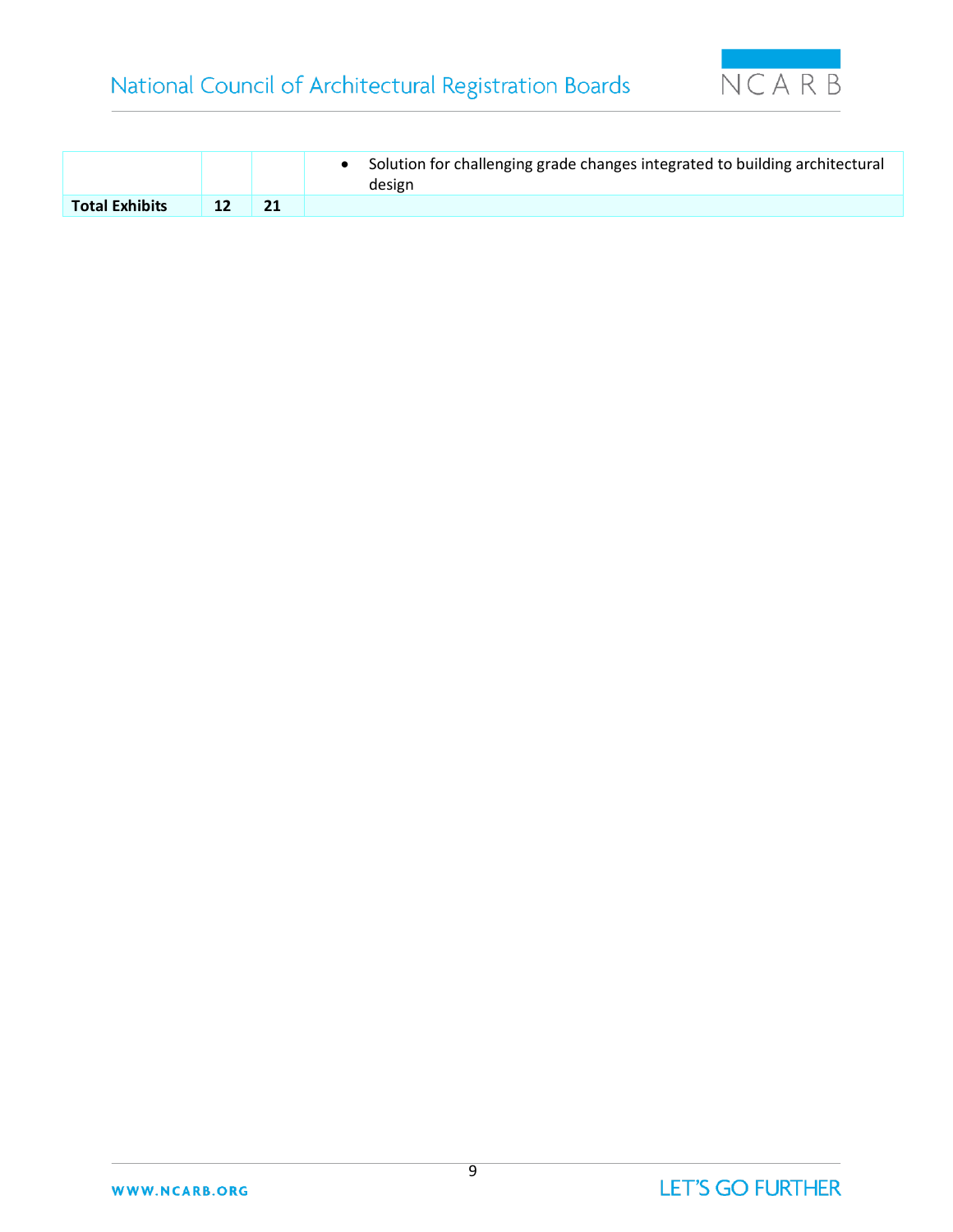

|                       |  | Solution for challenging grade changes integrated to building architectural<br>design |
|-----------------------|--|---------------------------------------------------------------------------------------|
| <b>Total Exhibits</b> |  |                                                                                       |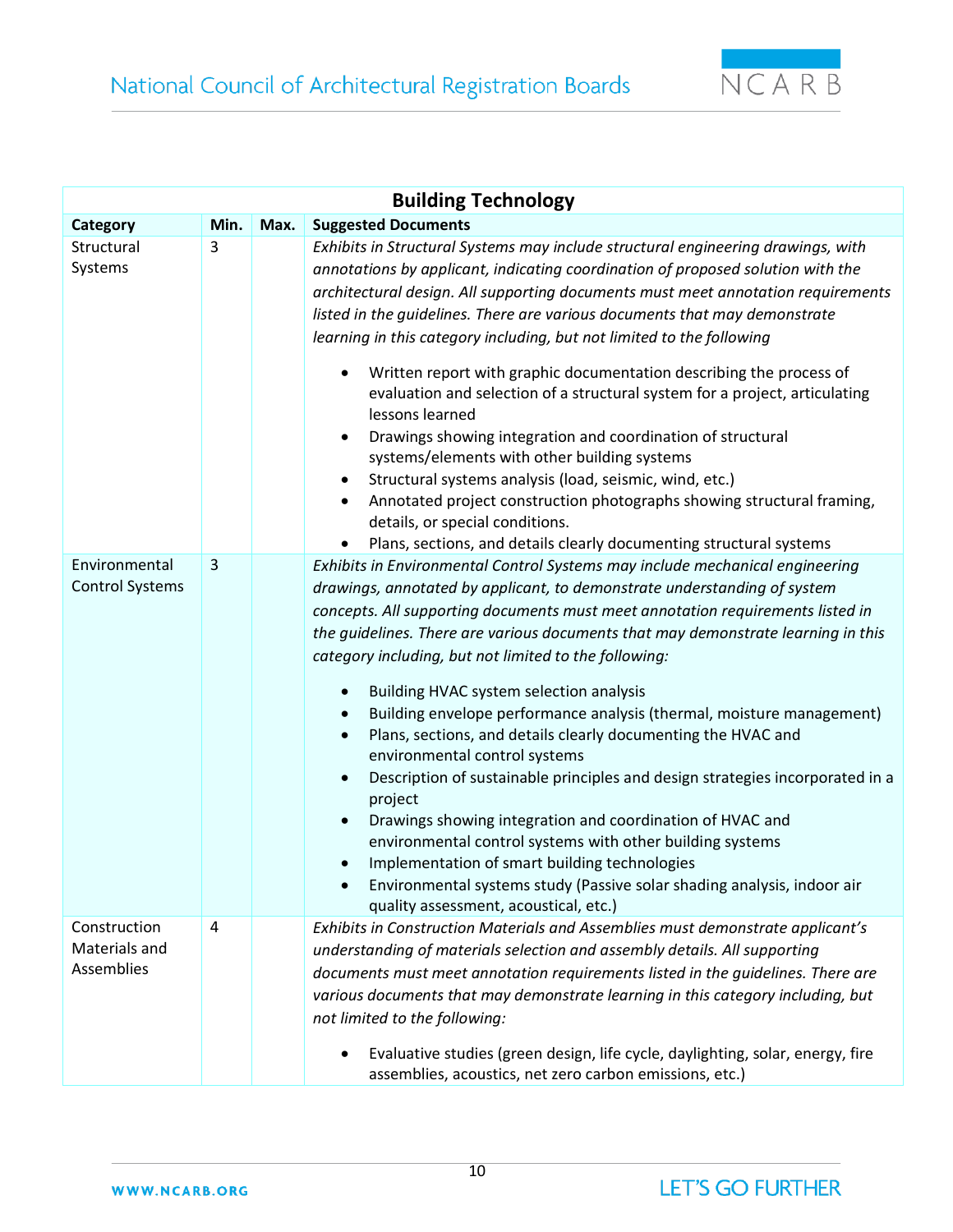

| <b>Building Technology</b>                         |                |      |                                                                                                                                                                                                                                                                                                                                                                                                                                                                                                                                                                                                                                                                                                                                                                                                                                                                                                                                                                                                                                                  |  |  |
|----------------------------------------------------|----------------|------|--------------------------------------------------------------------------------------------------------------------------------------------------------------------------------------------------------------------------------------------------------------------------------------------------------------------------------------------------------------------------------------------------------------------------------------------------------------------------------------------------------------------------------------------------------------------------------------------------------------------------------------------------------------------------------------------------------------------------------------------------------------------------------------------------------------------------------------------------------------------------------------------------------------------------------------------------------------------------------------------------------------------------------------------------|--|--|
| Category                                           | Min.           | Max. | <b>Suggested Documents</b>                                                                                                                                                                                                                                                                                                                                                                                                                                                                                                                                                                                                                                                                                                                                                                                                                                                                                                                                                                                                                       |  |  |
| Structural<br>Systems                              | 3              |      | Exhibits in Structural Systems may include structural engineering drawings, with<br>annotations by applicant, indicating coordination of proposed solution with the<br>architectural design. All supporting documents must meet annotation requirements<br>listed in the guidelines. There are various documents that may demonstrate<br>learning in this category including, but not limited to the following<br>Written report with graphic documentation describing the process of<br>evaluation and selection of a structural system for a project, articulating<br>lessons learned<br>Drawings showing integration and coordination of structural<br>systems/elements with other building systems<br>Structural systems analysis (load, seismic, wind, etc.)<br>Annotated project construction photographs showing structural framing,<br>details, or special conditions.<br>Plans, sections, and details clearly documenting structural systems                                                                                            |  |  |
| Environmental<br><b>Control Systems</b>            | 3              |      | Exhibits in Environmental Control Systems may include mechanical engineering<br>drawings, annotated by applicant, to demonstrate understanding of system<br>concepts. All supporting documents must meet annotation requirements listed in<br>the guidelines. There are various documents that may demonstrate learning in this<br>category including, but not limited to the following:<br>Building HVAC system selection analysis<br>Building envelope performance analysis (thermal, moisture management)<br>$\bullet$<br>Plans, sections, and details clearly documenting the HVAC and<br>$\bullet$<br>environmental control systems<br>Description of sustainable principles and design strategies incorporated in a<br>project<br>Drawings showing integration and coordination of HVAC and<br>$\bullet$<br>environmental control systems with other building systems<br>Implementation of smart building technologies<br>Environmental systems study (Passive solar shading analysis, indoor air<br>quality assessment, acoustical, etc.) |  |  |
| Construction<br>Materials and<br><b>Assemblies</b> | $\overline{4}$ |      | Exhibits in Construction Materials and Assemblies must demonstrate applicant's<br>understanding of materials selection and assembly details. All supporting<br>documents must meet annotation requirements listed in the guidelines. There are<br>various documents that may demonstrate learning in this category including, but<br>not limited to the following:<br>Evaluative studies (green design, life cycle, daylighting, solar, energy, fire<br>$\bullet$<br>assemblies, acoustics, net zero carbon emissions, etc.)                                                                                                                                                                                                                                                                                                                                                                                                                                                                                                                     |  |  |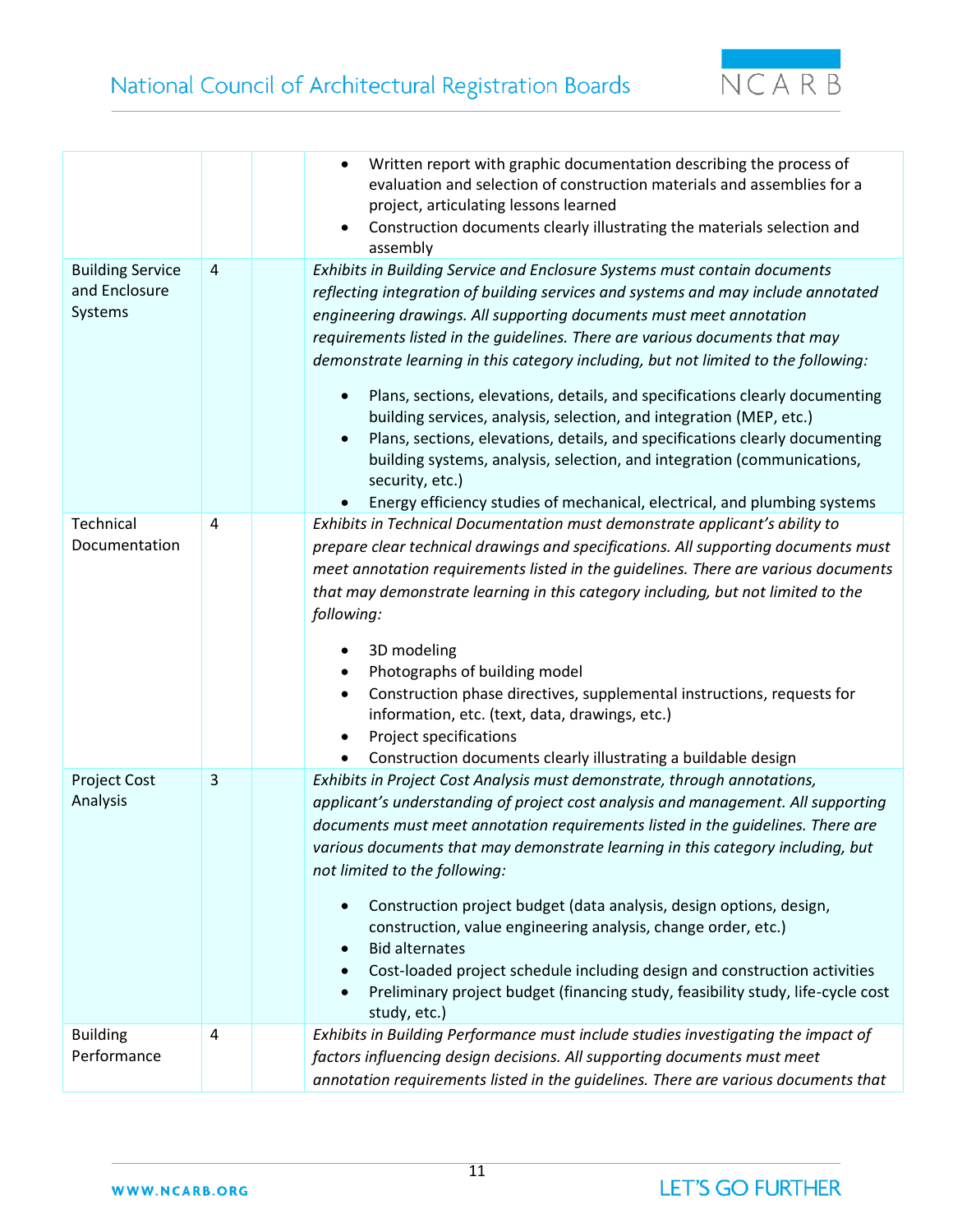

|                                                     |                | Written report with graphic documentation describing the process of<br>evaluation and selection of construction materials and assemblies for a<br>project, articulating lessons learned<br>Construction documents clearly illustrating the materials selection and<br>assembly                                                                                                                                                                                                                                                                                                                                                                                                                                                                                                                                               |
|-----------------------------------------------------|----------------|------------------------------------------------------------------------------------------------------------------------------------------------------------------------------------------------------------------------------------------------------------------------------------------------------------------------------------------------------------------------------------------------------------------------------------------------------------------------------------------------------------------------------------------------------------------------------------------------------------------------------------------------------------------------------------------------------------------------------------------------------------------------------------------------------------------------------|
| <b>Building Service</b><br>and Enclosure<br>Systems | $\overline{4}$ | Exhibits in Building Service and Enclosure Systems must contain documents<br>reflecting integration of building services and systems and may include annotated<br>engineering drawings. All supporting documents must meet annotation<br>requirements listed in the guidelines. There are various documents that may<br>demonstrate learning in this category including, but not limited to the following:<br>Plans, sections, elevations, details, and specifications clearly documenting<br>building services, analysis, selection, and integration (MEP, etc.)<br>Plans, sections, elevations, details, and specifications clearly documenting<br>building systems, analysis, selection, and integration (communications,<br>security, etc.)<br>Energy efficiency studies of mechanical, electrical, and plumbing systems |
| Technical<br>Documentation                          | $\overline{4}$ | Exhibits in Technical Documentation must demonstrate applicant's ability to<br>prepare clear technical drawings and specifications. All supporting documents must<br>meet annotation requirements listed in the guidelines. There are various documents<br>that may demonstrate learning in this category including, but not limited to the<br>following:<br>3D modeling<br>Photographs of building model<br>Construction phase directives, supplemental instructions, requests for<br>information, etc. (text, data, drawings, etc.)<br>Project specifications<br>Construction documents clearly illustrating a buildable design                                                                                                                                                                                            |
| <b>Project Cost</b><br>Analysis                     | 3              | Exhibits in Project Cost Analysis must demonstrate, through annotations,<br>applicant's understanding of project cost analysis and management. All supporting<br>documents must meet annotation requirements listed in the guidelines. There are<br>various documents that may demonstrate learning in this category including, but<br>not limited to the following:<br>Construction project budget (data analysis, design options, design,<br>construction, value engineering analysis, change order, etc.)<br><b>Bid alternates</b><br>$\bullet$<br>Cost-loaded project schedule including design and construction activities<br>Preliminary project budget (financing study, feasibility study, life-cycle cost<br>study, etc.)                                                                                           |
| <b>Building</b><br>Performance                      | 4              | Exhibits in Building Performance must include studies investigating the impact of<br>factors influencing design decisions. All supporting documents must meet<br>annotation requirements listed in the guidelines. There are various documents that                                                                                                                                                                                                                                                                                                                                                                                                                                                                                                                                                                          |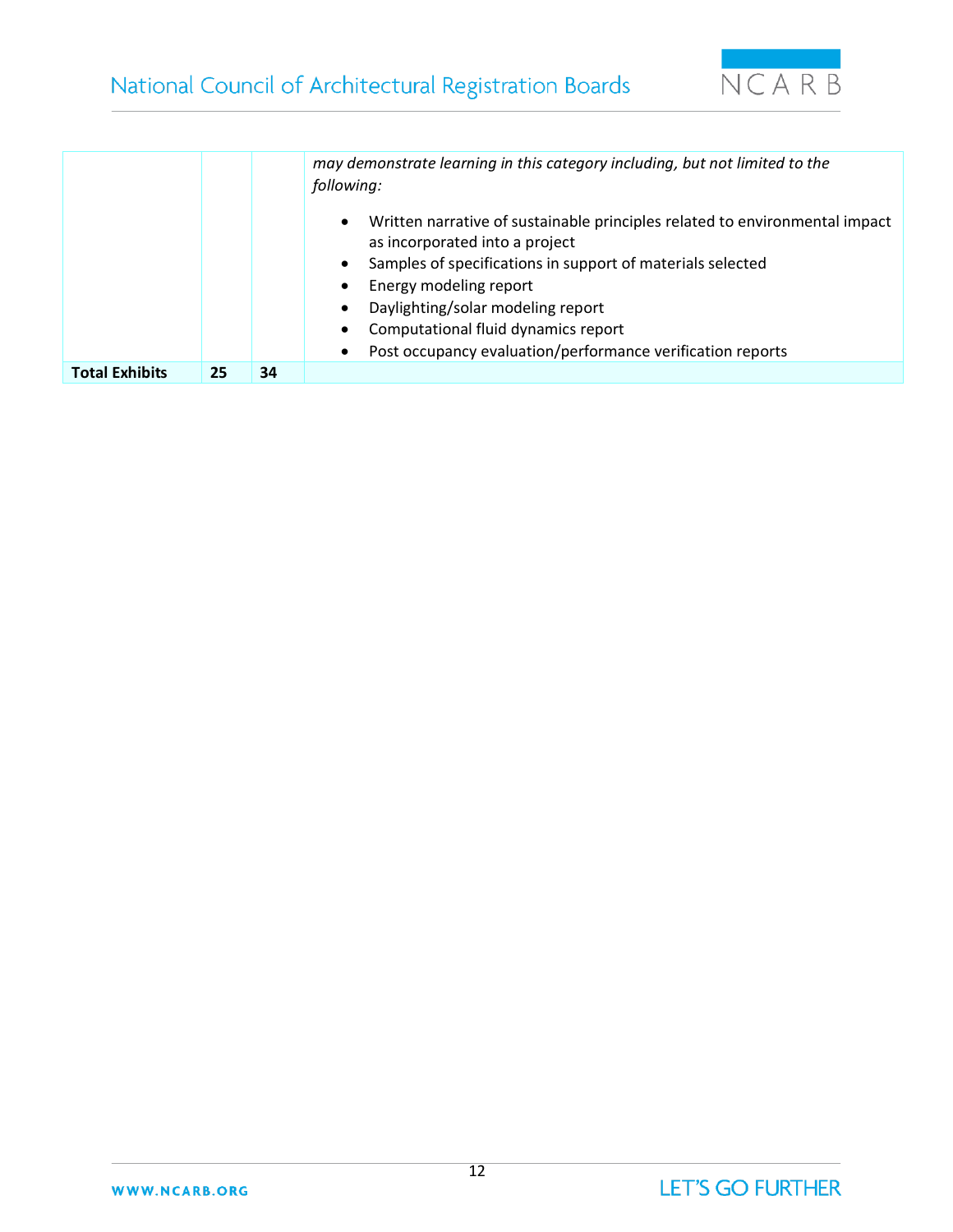

|                       |    |    | may demonstrate learning in this category including, but not limited to the<br>following:                                                                                                                          |
|-----------------------|----|----|--------------------------------------------------------------------------------------------------------------------------------------------------------------------------------------------------------------------|
|                       |    |    | Written narrative of sustainable principles related to environmental impact<br>$\bullet$<br>as incorporated into a project<br>Samples of specifications in support of materials selected<br>Energy modeling report |
|                       |    |    | Daylighting/solar modeling report                                                                                                                                                                                  |
|                       |    |    | Computational fluid dynamics report                                                                                                                                                                                |
|                       |    |    | Post occupancy evaluation/performance verification reports                                                                                                                                                         |
| <b>Total Exhibits</b> | 25 | 34 |                                                                                                                                                                                                                    |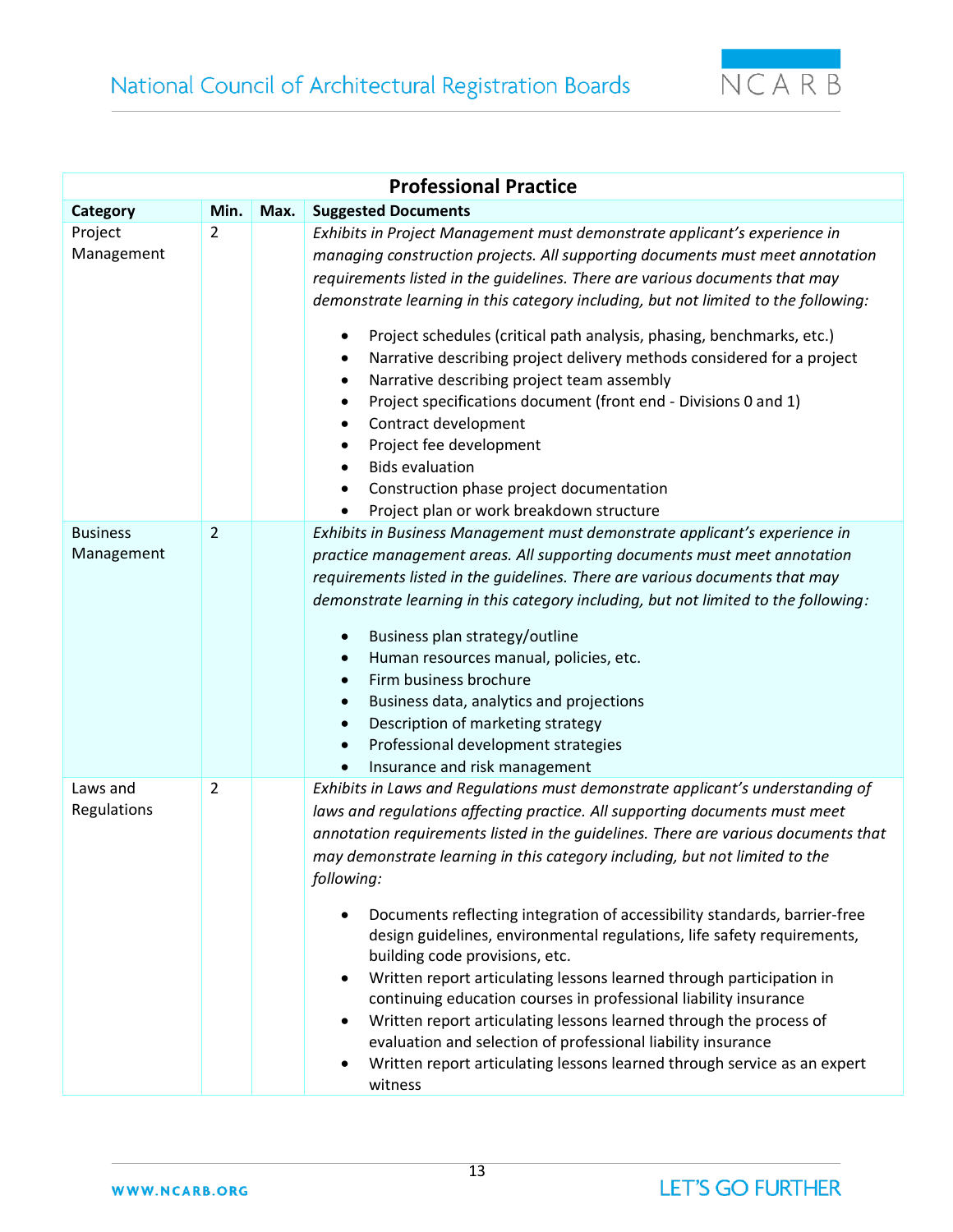

| <b>Professional Practice</b>  |                |      |                                                                                                                                                                                                                                                                                                                                                                                                                                                                                                                                                                                                                                                                                                                                                                                                                                                                                                                     |  |  |
|-------------------------------|----------------|------|---------------------------------------------------------------------------------------------------------------------------------------------------------------------------------------------------------------------------------------------------------------------------------------------------------------------------------------------------------------------------------------------------------------------------------------------------------------------------------------------------------------------------------------------------------------------------------------------------------------------------------------------------------------------------------------------------------------------------------------------------------------------------------------------------------------------------------------------------------------------------------------------------------------------|--|--|
| Category                      | Min.           | Max. | <b>Suggested Documents</b>                                                                                                                                                                                                                                                                                                                                                                                                                                                                                                                                                                                                                                                                                                                                                                                                                                                                                          |  |  |
| Project<br>Management         | $\overline{2}$ |      | Exhibits in Project Management must demonstrate applicant's experience in<br>managing construction projects. All supporting documents must meet annotation<br>requirements listed in the quidelines. There are various documents that may<br>demonstrate learning in this category including, but not limited to the following:<br>Project schedules (critical path analysis, phasing, benchmarks, etc.)<br>٠<br>Narrative describing project delivery methods considered for a project<br>Narrative describing project team assembly<br>$\bullet$<br>Project specifications document (front end - Divisions 0 and 1)<br>٠<br>Contract development<br>٠<br>Project fee development<br>$\bullet$<br><b>Bids evaluation</b><br>Construction phase project documentation<br>Project plan or work breakdown structure                                                                                                   |  |  |
| <b>Business</b><br>Management | $\overline{2}$ |      | Exhibits in Business Management must demonstrate applicant's experience in<br>practice management areas. All supporting documents must meet annotation<br>requirements listed in the guidelines. There are various documents that may<br>demonstrate learning in this category including, but not limited to the following:<br>Business plan strategy/outline<br>Human resources manual, policies, etc.<br>Firm business brochure<br>$\bullet$<br>Business data, analytics and projections<br>Description of marketing strategy<br>$\bullet$<br>Professional development strategies<br>$\bullet$<br>Insurance and risk management                                                                                                                                                                                                                                                                                   |  |  |
| Laws and<br>Regulations       | 2              |      | Exhibits in Laws and Regulations must demonstrate applicant's understanding of<br>laws and regulations affecting practice. All supporting documents must meet<br>annotation requirements listed in the guidelines. There are various documents that<br>may demonstrate learning in this category including, but not limited to the<br>following:<br>Documents reflecting integration of accessibility standards, barrier-free<br>design guidelines, environmental regulations, life safety requirements,<br>building code provisions, etc.<br>Written report articulating lessons learned through participation in<br>continuing education courses in professional liability insurance<br>Written report articulating lessons learned through the process of<br>evaluation and selection of professional liability insurance<br>Written report articulating lessons learned through service as an expert<br>witness |  |  |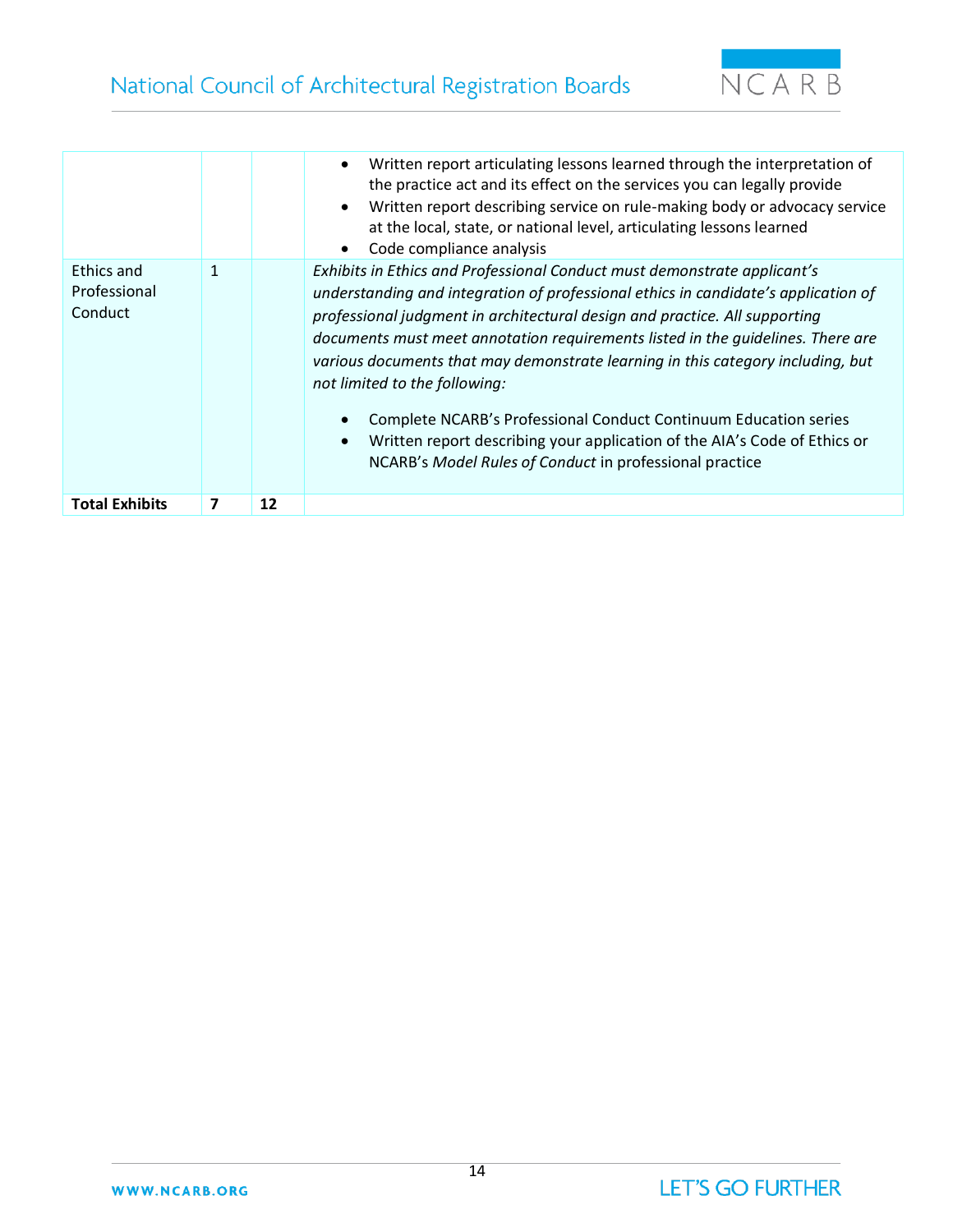



|                                       |              |    | Written report articulating lessons learned through the interpretation of<br>$\bullet$<br>the practice act and its effect on the services you can legally provide<br>Written report describing service on rule-making body or advocacy service<br>$\bullet$<br>at the local, state, or national level, articulating lessons learned<br>Code compliance analysis<br>$\bullet$                                                                                                                                                                                                                                                                                                 |
|---------------------------------------|--------------|----|------------------------------------------------------------------------------------------------------------------------------------------------------------------------------------------------------------------------------------------------------------------------------------------------------------------------------------------------------------------------------------------------------------------------------------------------------------------------------------------------------------------------------------------------------------------------------------------------------------------------------------------------------------------------------|
| Ethics and<br>Professional<br>Conduct | $\mathbf{1}$ |    | Exhibits in Ethics and Professional Conduct must demonstrate applicant's<br>understanding and integration of professional ethics in candidate's application of<br>professional judgment in architectural design and practice. All supporting<br>documents must meet annotation requirements listed in the guidelines. There are<br>various documents that may demonstrate learning in this category including, but<br>not limited to the following:<br>Complete NCARB's Professional Conduct Continuum Education series<br>Written report describing your application of the AIA's Code of Ethics or<br>$\bullet$<br>NCARB's Model Rules of Conduct in professional practice |
| <b>Total Exhibits</b>                 | 7            | 12 |                                                                                                                                                                                                                                                                                                                                                                                                                                                                                                                                                                                                                                                                              |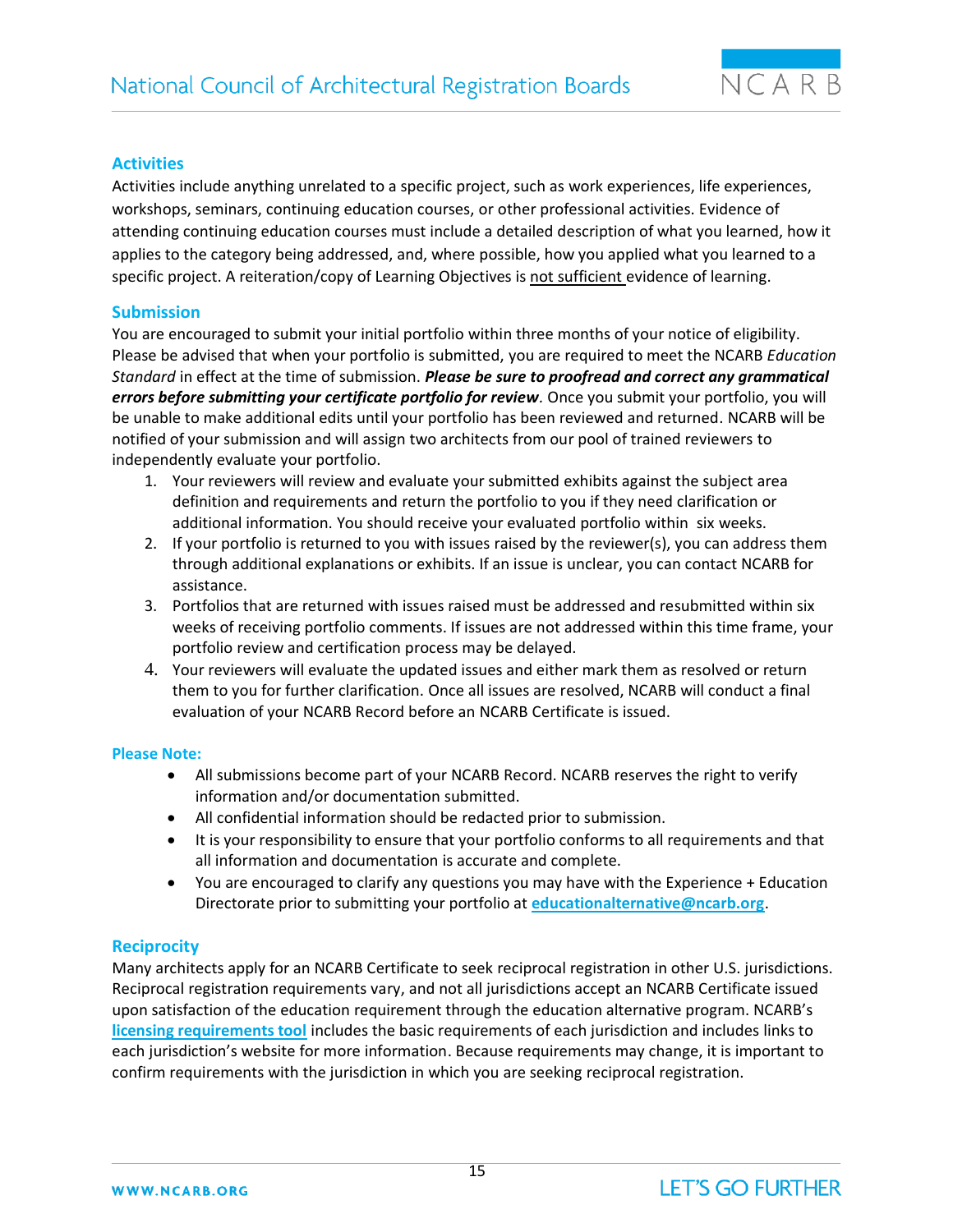

# **Activities**

Activities include anything unrelated to a specific project, such as work experiences, life experiences, workshops, seminars, continuing education courses, or other professional activities. Evidence of attending continuing education courses must include a detailed description of what you learned, how it applies to the category being addressed, and, where possible, how you applied what you learned to a specific project. A reiteration/copy of Learning Objectives is not sufficient evidence of learning.

# **Submission**

You are encouraged to submit your initial portfolio within three months of your notice of eligibility. Please be advised that when your portfolio is submitted, you are required to meet the NCARB *Education Standard* in effect at the time of submission. *Please be sure to proofread and correct any grammatical errors before submitting your certificate portfolio for review.* Once you submit your portfolio, you will be unable to make additional edits until your portfolio has been reviewed and returned. NCARB will be notified of your submission and will assign two architects from our pool of trained reviewers to independently evaluate your portfolio.

- 1. Your reviewers will review and evaluate your submitted exhibits against the subject area definition and requirements and return the portfolio to you if they need clarification or additional information. You should receive your evaluated portfolio within six weeks.
- 2. If your portfolio is returned to you with issues raised by the reviewer(s), you can address them through additional explanations or exhibits. If an issue is unclear, you can contact NCARB for assistance.
- 3. Portfolios that are returned with issues raised must be addressed and resubmitted within six weeks of receiving portfolio comments. If issues are not addressed within this time frame, your portfolio review and certification process may be delayed.
- 4. Your reviewers will evaluate the updated issues and either mark them as resolved or return them to you for further clarification. Once all issues are resolved, NCARB will conduct a final evaluation of your NCARB Record before an NCARB Certificate is issued.

#### **Please Note:**

- All submissions become part of your NCARB Record. NCARB reserves the right to verify information and/or documentation submitted.
- All confidential information should be redacted prior to submission.
- It is your responsibility to ensure that your portfolio conforms to all requirements and that all information and documentation is accurate and complete.
- You are encouraged to clarify any questions you may have with the Experience + Education Directorate prior to submitting your portfolio at **[educationalternative@ncarb.org](mailto:educationalternative@ncarb.org)**.

# **Reciprocity**

Many architects apply for an NCARB Certificate to seek reciprocal registration in other U.S. jurisdictions. Reciprocal registration requirements vary, and not all jurisdictions accept an NCARB Certificate issued upon satisfaction of the education requirement through the education alternative program. NCARB's **[licensing requirements tool](http://www.ncarb.org/get-licensed/licensing-requirements-tool)** includes the basic requirements of each jurisdiction and includes links to each jurisdiction's website for more information. Because requirements may change, it is important to confirm requirements with the jurisdiction in which you are seeking reciprocal registration.